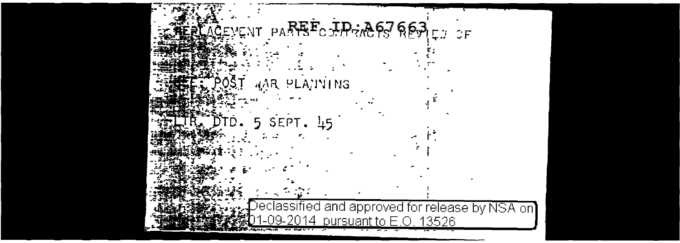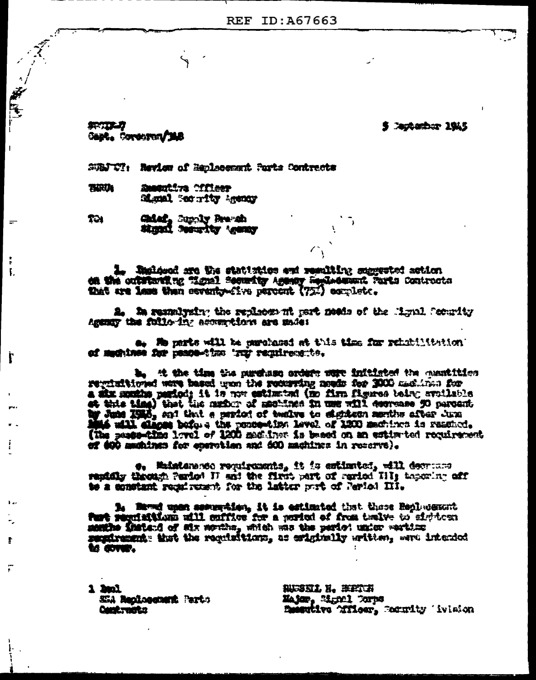5 Jackarbur 1945

紫け立つ Capt. Cordoron/148

一座

 $\equiv$ 

Ł.

ľ

 $\mathbf{F}$ 

r

SUBJ With Review of Replacement Ports Contracts

THRIA **Susentive officer** Signal Recordity Account

Chief, Septy Reads T31 Signal Security Agency

I. Ingloved are the statistics and resulting suggested action on the outstanding "ignal security Agency Sephedward Parts Controcts that are less than esventy-five percent (75.) ecrelete.

i. In remaining the redictor at most needs of the Minul Scoudiy Accounty that following accountings are made:

s. He parts will be parchased at this time for rehabilitation: of maghines for peace-time 'ruy requirements.

b. A the time the purchase orders sure initiated the constition regulations were based use the recenting needs for 1000 medicine for a six months pariod; it is now estimated (no firm figures being evolutions of this time) that has mader of mechanical in use will correase 90 percent by June 1985, and that a period of twelve to eighteen membe after June Mat will clapse before the pencembing level of 1200 mechines is reseled. (The peacefull level of 1200 mechines is reseled. of 400 memines for eperation and 600 machines in reserve).

e. Maistaneste reguigements, it is estimated, will decrease rapidly theough Pariot II and the first part of raried III; tapering off to a constant regal reason for the latter purt of Period III.

B. Saved upon semerator, it is estimated that there Replacement Purt regulations will cuffice for a ported of from traite to sighteen months fratend of aix mention, which me the period under westing to cover.

1 had SEA Reclassment Parts **Card: Tall 22** 

投票寄款上 路。 笨蛋饮料 Major, Signal Corps Besetive Tileer, Remity Trision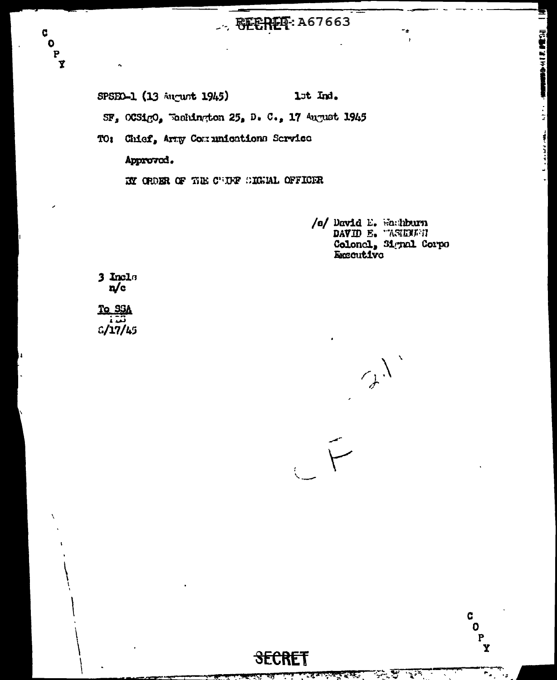## $\therefore$  RECRET: A67663

1st Ind. SPSED-1 (13 August 1945) SF, OCSigO, Weshington 25, D. C., 17 August 1945

TO: Chief, Arty Comminations Service Approved.

EY ORDER OF THE CULTF SIGNAL OFFICER

/s/ David E. Hachburn<br>DAVID E. HASERETH Colonel, 31 yral Corpo **Executive** 

**COMMENTAL PROPERTY** 

 $\frac{1}{2}$ 

Ē,

3 Incles<br> $n/c$ 

C<br>C<br>C<br>X

To SSA تت  $C/17/45$ 

 $\mathcal{A}^{\lambda}$ 

C  $\overline{\mathbf{o}}$ 

 $\mathbf{P}$ <br> $\mathbf{Y}$ 

 $\sum$ 

Ŧ,

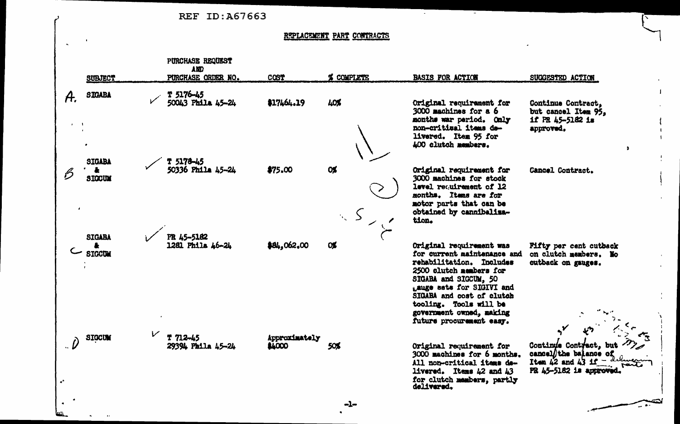|                   |                                |                                                      | REF ID: A67663          |                            |                                                                                                                                                                                                                                                                                     |                                                                                                     |
|-------------------|--------------------------------|------------------------------------------------------|-------------------------|----------------------------|-------------------------------------------------------------------------------------------------------------------------------------------------------------------------------------------------------------------------------------------------------------------------------------|-----------------------------------------------------------------------------------------------------|
|                   |                                |                                                      |                         | REPLACEMENT PART CONTRACTS |                                                                                                                                                                                                                                                                                     |                                                                                                     |
|                   | SUBJECT                        | PURCHASE REQUEST<br><b>AND</b><br>PURCHASE ORDER NO. | COST                    | % COMPLETE                 | <b>BASIS FOR ACTION</b>                                                                                                                                                                                                                                                             | SUGGESTED ACTION                                                                                    |
| A.                | <b>SIGABA</b><br>٠             | T 5176-45<br>50043 Phila 45-24                       | \$17464.19              | 40%                        | Original requirement for<br>3000 machines for a 6<br>months war period. Only<br>non-critical items de-<br>livered. Item 95 for<br>400 clutch members.                                                                                                                               | Continue Contract,<br>but cancel Item 95,<br>if PR 45-5182 is<br>approved.                          |
| $\cdot$           | SIGABA<br>SIGCUM               | T 5178-45<br>50336 Phila 45-24                       | \$75.00                 | <b>OX</b>                  | Original requirement for<br>3000 machines for stock<br>level requirement of 12<br>months. Items are for<br>motor parts that can be<br>obtained by cannibaliza-<br>tion.                                                                                                             | Cancel Contract.                                                                                    |
|                   | <b>SIGABA</b><br><b>SIGCUM</b> | PR 45-5182<br>1281 Phila 46-24                       | \$84,062.00             | <b>O</b>                   | Original requirement was<br>for current maintenance and<br>rehabilitation. Includes<br>2500 clutch members for<br>SIGABA and SIGCUM, 50<br>Lauge sats for SIGIVI and<br>SIGABA and cost of clutch<br>tooling. Tools will be<br>government owned, making<br>future procurement easy. | Fifty per cent cutback<br>on clutch members. No<br>outback on gauges.                               |
| $\bullet^\bullet$ | <b>STOCUM</b>                  | $T 712 - 45$<br>29394 Phila 45-24                    | Approximately<br>\$4000 | 50%                        | Original requirement for<br>3000 machines for 6 months.<br>All non-critical items de-<br>livered. Items $42$ and $43$<br>for clutch members, partly<br>delivered.                                                                                                                   | Continue Contract, but<br>cancel/the balance of<br>Item $42$ and $43$ if<br>PR 45-5182 is approved. |
|                   |                                |                                                      |                         |                            |                                                                                                                                                                                                                                                                                     |                                                                                                     |

 $-1-$ 

 $\sim$   $\approx$ 

 $\bullet$ 

لسن

 $\mathbf{A}$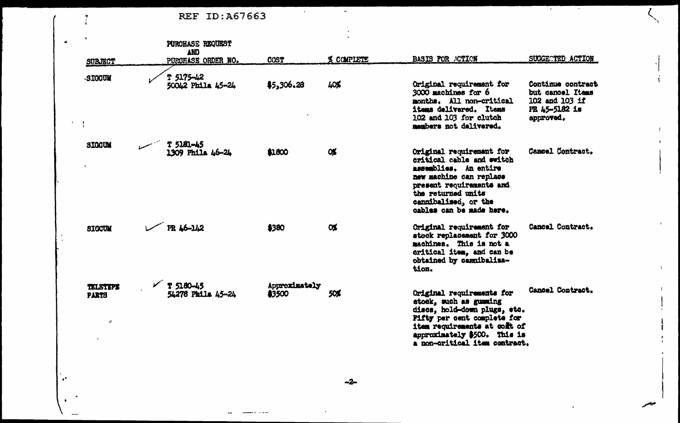REF ID:A67663

 $\mathbf{r}$ 

 $\mathbf{A}^{\mathbf{A}}$ 

| SUBJECT                              | PUROHASE REQUEST<br>AND<br>PURCHASE ORDER NO. | <b>COST</b>             | % COMPLETE | <b>BASIS FOR ACTION</b>                                                                                                                                                                                             | SUGGECTED ACTION                                                                      |
|--------------------------------------|-----------------------------------------------|-------------------------|------------|---------------------------------------------------------------------------------------------------------------------------------------------------------------------------------------------------------------------|---------------------------------------------------------------------------------------|
| SIGOUM                               | <b>T 5175-42</b><br>50042 Phila 45-24         | \$5,306.28              | 40%        | Original requirement for<br>3000 machines for 6<br>months. All non-critical<br>items delivered. Items<br>102 and 103 for clutch<br>members not delivered.                                                           | Continue contract<br>but cancel Items<br>102 and 103 if<br>PR 45-5182 is<br>approved. |
| <b>SIGGUM</b>                        | T 5181-45<br>1309 Phila 46-24                 | \$1800                  | <b>OK</b>  | Original requirement for<br>critical cable and switch<br>assemblies. An entire<br>new machine can replace<br>present requirements and<br>the returned units<br>cannibalised, or the<br>cables can be made here.     | Cancel Contract.                                                                      |
| <b>SIGCUM</b>                        | PR 46-142                                     | \$380                   | <b>OX</b>  | Original requirement for<br>stock replacement for 3000<br>machines. This is not a<br>critical item, and can be<br>obtained by camibaliza-<br>tion.                                                                  | Cancel Contract.                                                                      |
| <b>TELETYPE</b><br><b>PARTS</b><br>v | $V$ T 5180-45<br>54278 Phila 45-24            | Approximately<br>\$3500 | 50%        | Original requirements for<br>stock, such as gumming<br>discs, hold-down plugs, etc.<br>Fifty per cent complete for<br>item requirements at coff of<br>approximately \$500. This is<br>a non-oritical item contract. | Cancel Contract.                                                                      |

τ.